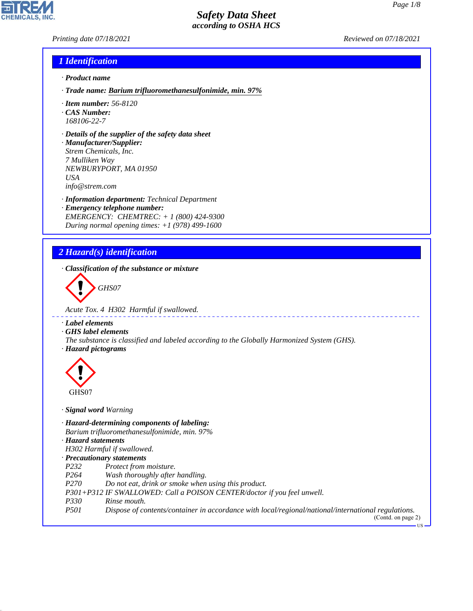*Printing date 07/18/2021 Reviewed on 07/18/2021*

**CHEMICALS.** 

#### *1 Identification*

- *· Product name*
- *· Trade name: Barium trifluoromethanesulfonimide, min. 97%*
- *· Item number: 56-8120*
- *· CAS Number: 168106-22-7*
- *· Details of the supplier of the safety data sheet*
- *· Manufacturer/Supplier: Strem Chemicals, Inc. 7 Mulliken Way NEWBURYPORT, MA 01950 USA info@strem.com*
- *· Information department: Technical Department · Emergency telephone number: EMERGENCY: CHEMTREC: + 1 (800) 424-9300 During normal opening times: +1 (978) 499-1600*

## *2 Hazard(s) identification*

*· Classification of the substance or mixture*

d~*GHS07*

*Acute Tox. 4 H302 Harmful if swallowed.*

*· Label elements*

*· GHS label elements*

- *The substance is classified and labeled according to the Globally Harmonized System (GHS).*
- *· Hazard pictograms*



- *· Signal word Warning*
- *· Hazard-determining components of labeling:*
- *Barium trifluoromethanesulfonimide, min. 97%*
- *· Hazard statements*

*H302 Harmful if swallowed.*

#### *· Precautionary statements*

- *P232 Protect from moisture.*
- *P264 Wash thoroughly after handling.*
- *P270 Do not eat, drink or smoke when using this product.*
- *P301+P312 IF SWALLOWED: Call a POISON CENTER/doctor if you feel unwell.*
- *P330 Rinse mouth.*

44.1.1

*P501 Dispose of contents/container in accordance with local/regional/national/international regulations.*

(Contd. on page 2) **TIC**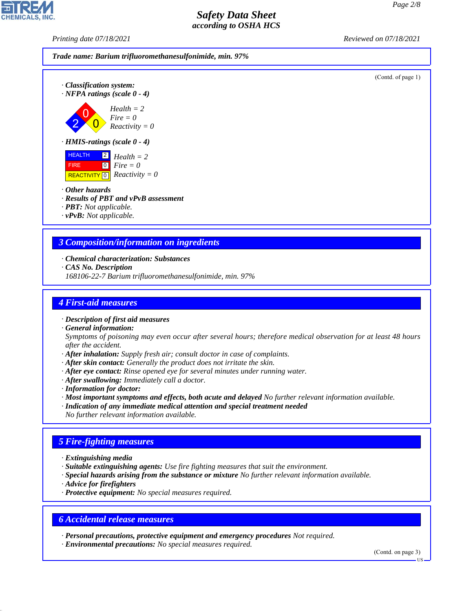*Printing date 07/18/2021 Reviewed on 07/18/2021*

*Trade name: Barium trifluoromethanesulfonimide, min. 97%* (Contd. of page 1) *· Classification system: · NFPA ratings (scale 0 - 4)* 2 0  $\overline{\mathbf{0}}$ *Health = 2 Fire = 0 Reactivity = 0 · HMIS-ratings (scale 0 - 4)* HEALTH FIRE  $\overline{REACTIVITY \, 0}$  *Reactivity = 0* 2 *Health = 2* 0 *Fire = 0 · Other hazards*

- *· Results of PBT and vPvB assessment*
- *· PBT: Not applicable.*
- *· vPvB: Not applicable.*

#### *3 Composition/information on ingredients*

- *· Chemical characterization: Substances*
- *· CAS No. Description*
- *168106-22-7 Barium trifluoromethanesulfonimide, min. 97%*

#### *4 First-aid measures*

- *· Description of first aid measures*
- *· General information:*

*Symptoms of poisoning may even occur after several hours; therefore medical observation for at least 48 hours after the accident.*

- *· After inhalation: Supply fresh air; consult doctor in case of complaints.*
- *· After skin contact: Generally the product does not irritate the skin.*
- *· After eye contact: Rinse opened eye for several minutes under running water.*
- *· After swallowing: Immediately call a doctor.*
- *· Information for doctor:*
- *· Most important symptoms and effects, both acute and delayed No further relevant information available.*
- *· Indication of any immediate medical attention and special treatment needed*
- *No further relevant information available.*

## *5 Fire-fighting measures*

- *· Extinguishing media*
- *· Suitable extinguishing agents: Use fire fighting measures that suit the environment.*
- *· Special hazards arising from the substance or mixture No further relevant information available.*
- *· Advice for firefighters*

44.1.1

*· Protective equipment: No special measures required.*

#### *6 Accidental release measures*

*· Personal precautions, protective equipment and emergency procedures Not required.*

*· Environmental precautions: No special measures required.*

(Contd. on page 3)

US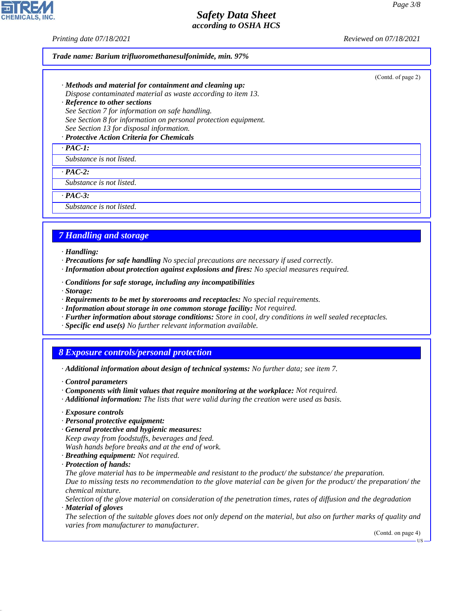*Printing date 07/18/2021 Reviewed on 07/18/2021*

#### *Trade name: Barium trifluoromethanesulfonimide, min. 97%*

- *· Methods and material for containment and cleaning up: Dispose contaminated material as waste according to item 13.*
- *· Reference to other sections See Section 7 for information on safe handling. See Section 8 for information on personal protection equipment. See Section 13 for disposal information.*

#### *· Protective Action Criteria for Chemicals*

#### *· PAC-1:*

*Substance is not listed.*

*· PAC-2:*

*Substance is not listed.*

*· PAC-3:*

*Substance is not listed.*

## *7 Handling and storage*

- *· Handling:*
- *· Precautions for safe handling No special precautions are necessary if used correctly.*
- *· Information about protection against explosions and fires: No special measures required.*
- *· Conditions for safe storage, including any incompatibilities*
- *· Storage:*
- *· Requirements to be met by storerooms and receptacles: No special requirements.*
- *· Information about storage in one common storage facility: Not required.*
- *· Further information about storage conditions: Store in cool, dry conditions in well sealed receptacles.*
- *· Specific end use(s) No further relevant information available.*

## *8 Exposure controls/personal protection*

- *· Additional information about design of technical systems: No further data; see item 7.*
- *· Control parameters*
- *· Components with limit values that require monitoring at the workplace: Not required.*
- *· Additional information: The lists that were valid during the creation were used as basis.*
- *· Exposure controls*
- *· Personal protective equipment:*
- *· General protective and hygienic measures: Keep away from foodstuffs, beverages and feed. Wash hands before breaks and at the end of work.*
- *· Breathing equipment: Not required.*
- *· Protection of hands:*

44.1.1

- *The glove material has to be impermeable and resistant to the product/ the substance/ the preparation. Due to missing tests no recommendation to the glove material can be given for the product/ the preparation/ the chemical mixture.*
- *Selection of the glove material on consideration of the penetration times, rates of diffusion and the degradation · Material of gloves*
- *The selection of the suitable gloves does not only depend on the material, but also on further marks of quality and varies from manufacturer to manufacturer.*

(Contd. on page 4)

US



#### (Contd. of page 2)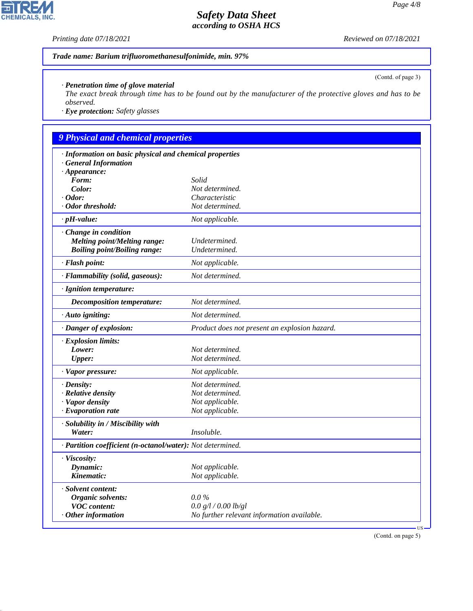*Printing date 07/18/2021 Reviewed on 07/18/2021*

H

CHEMICALS, INC.

44.1.1

(Contd. of page 3)

#### *Trade name: Barium trifluoromethanesulfonimide, min. 97%*

#### *· Penetration time of glove material*

*The exact break through time has to be found out by the manufacturer of the protective gloves and has to be observed.*

*· Eye protection: Safety glasses*

# *9 Physical and chemical properties*

| · Information on basic physical and chemical properties    |                                               |
|------------------------------------------------------------|-----------------------------------------------|
| <b>General Information</b>                                 |                                               |
| $\cdot$ Appearance:<br>Form:                               | Solid                                         |
| Color:                                                     | Not determined.                               |
| $\cdot$ Odor:                                              | Characteristic                                |
| · Odor threshold:                                          | Not determined.                               |
| $\cdot$ pH-value:                                          | Not applicable.                               |
| Change in condition                                        |                                               |
| Melting point/Melting range:                               | Undetermined.                                 |
| <b>Boiling point/Boiling range:</b>                        | Undetermined.                                 |
| · Flash point:                                             | Not applicable.                               |
| · Flammability (solid, gaseous):                           | Not determined.                               |
| · Ignition temperature:                                    |                                               |
| Decomposition temperature:                                 | Not determined.                               |
| · Auto igniting:                                           | Not determined.                               |
| · Danger of explosion:                                     | Product does not present an explosion hazard. |
| · Explosion limits:                                        |                                               |
| Lower:                                                     | Not determined.                               |
| <b>Upper:</b>                                              | Not determined.                               |
| · Vapor pressure:                                          | Not applicable.                               |
| $\cdot$ Density:                                           | Not determined.                               |
| · Relative density                                         | Not determined.                               |
| · Vapor density                                            | Not applicable.                               |
| $\cdot$ Evaporation rate                                   | Not applicable.                               |
| · Solubility in / Miscibility with                         |                                               |
| Water:                                                     | Insoluble.                                    |
| · Partition coefficient (n-octanol/water): Not determined. |                                               |
| · Viscosity:                                               |                                               |
| Dynamic:                                                   | Not applicable.                               |
| Kinematic:                                                 | Not applicable.                               |
| · Solvent content:                                         |                                               |
| Organic solvents:                                          | $0.0\%$                                       |
| <b>VOC</b> content:                                        | 0.0 g/l / 0.00 lb/gl                          |
| $·$ Other information                                      | No further relevant information available.    |
|                                                            | US                                            |

(Contd. on page 5)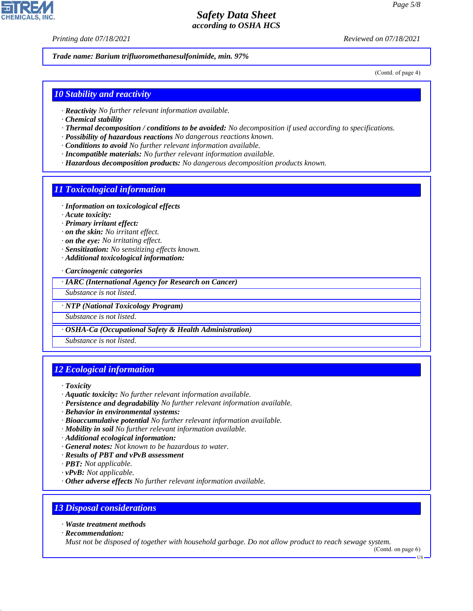*Printing date 07/18/2021 Reviewed on 07/18/2021*

*Trade name: Barium trifluoromethanesulfonimide, min. 97%*

(Contd. of page 4)

#### *10 Stability and reactivity*

- *· Reactivity No further relevant information available.*
- *· Chemical stability*
- *· Thermal decomposition / conditions to be avoided: No decomposition if used according to specifications.*
- *· Possibility of hazardous reactions No dangerous reactions known.*
- *· Conditions to avoid No further relevant information available.*
- *· Incompatible materials: No further relevant information available.*
- *· Hazardous decomposition products: No dangerous decomposition products known.*

#### *11 Toxicological information*

- *· Information on toxicological effects*
- *· Acute toxicity:*
- *· Primary irritant effect:*
- *· on the skin: No irritant effect.*
- *· on the eye: No irritating effect.*
- *· Sensitization: No sensitizing effects known.*
- *· Additional toxicological information:*

*· Carcinogenic categories*

*· IARC (International Agency for Research on Cancer)*

*Substance is not listed.*

*· NTP (National Toxicology Program)*

*Substance is not listed.*

*· OSHA-Ca (Occupational Safety & Health Administration)*

*Substance is not listed.*

#### *12 Ecological information*

*· Toxicity*

- *· Aquatic toxicity: No further relevant information available.*
- *· Persistence and degradability No further relevant information available.*
- *· Behavior in environmental systems:*
- *· Bioaccumulative potential No further relevant information available.*
- *· Mobility in soil No further relevant information available.*
- *· Additional ecological information:*
- *· General notes: Not known to be hazardous to water.*
- *· Results of PBT and vPvB assessment*
- *· PBT: Not applicable.*
- *· vPvB: Not applicable.*
- *· Other adverse effects No further relevant information available.*

#### *13 Disposal considerations*

*· Waste treatment methods*

*· Recommendation:*

44.1.1

*Must not be disposed of together with household garbage. Do not allow product to reach sewage system.*

(Contd. on page 6)

US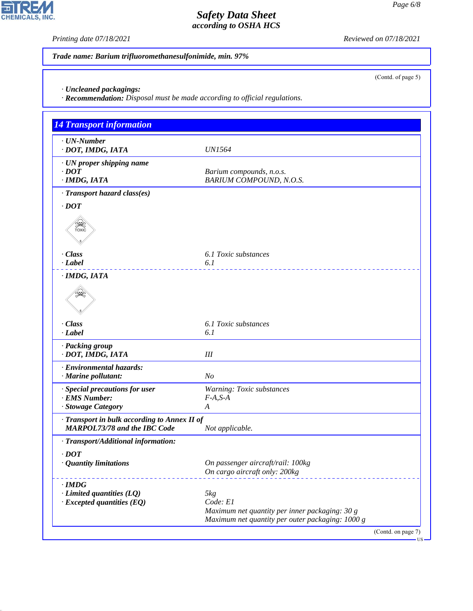*Printing date 07/18/2021 Reviewed on 07/18/2021*

(Contd. of page 5)

*Trade name: Barium trifluoromethanesulfonimide, min. 97%*

*· Uncleaned packagings:*

*· Recommendation: Disposal must be made according to official regulations.*

| <b>4 Transport information</b>                                                      |                                                  |                    |
|-------------------------------------------------------------------------------------|--------------------------------------------------|--------------------|
| $\cdot$ UN-Number                                                                   |                                                  |                    |
| · DOT, IMDG, IATA                                                                   | <b>UN1564</b>                                    |                    |
| · UN proper shipping name                                                           |                                                  |                    |
| $\cdot$ DOT                                                                         | Barium compounds, n.o.s.                         |                    |
| · IMDG, IATA                                                                        | BARIUM COMPOUND, N.O.S.                          |                    |
| · Transport hazard class(es)                                                        |                                                  |                    |
| $\cdot$ DOT                                                                         |                                                  |                    |
| $\widetilde{f(x)}$                                                                  |                                                  |                    |
| · Class<br>· Label                                                                  | 6.1 Toxic substances<br>6.1                      |                    |
| · IMDG, IATA                                                                        |                                                  |                    |
|                                                                                     |                                                  |                    |
| · Class                                                                             | 6.1 Toxic substances                             |                    |
| · Label                                                                             | 6.1                                              |                    |
| · Packing group<br>· DOT, IMDG, IATA                                                | III                                              |                    |
| · Environmental hazards:                                                            |                                                  |                    |
| · Marine pollutant:                                                                 | N <sub>O</sub>                                   |                    |
| · Special precautions for user                                                      | Warning: Toxic substances                        |                    |
| · EMS Number:<br>· Stowage Category                                                 | $F-A, S-A$<br>A                                  |                    |
|                                                                                     |                                                  |                    |
| · Transport in bulk according to Annex II of<br><b>MARPOL73/78 and the IBC Code</b> | Not applicable.                                  |                    |
| · Transport/Additional information:                                                 |                                                  |                    |
| $\cdot$ DOT                                                                         |                                                  |                    |
| <b>Quantity limitations</b>                                                         | On passenger aircraft/rail: 100kg                |                    |
|                                                                                     | On cargo aircraft only: 200kg                    |                    |
| $\cdot$ IMDG                                                                        |                                                  |                    |
| $\cdot$ Limited quantities (LQ)<br>$\cdot$ Excepted quantities (EQ)                 | 5kg<br>Code: E1                                  |                    |
|                                                                                     | Maximum net quantity per inner packaging: 30 g   |                    |
|                                                                                     | Maximum net quantity per outer packaging: 1000 g |                    |
|                                                                                     |                                                  | (Contd. on page 7) |



44.1.1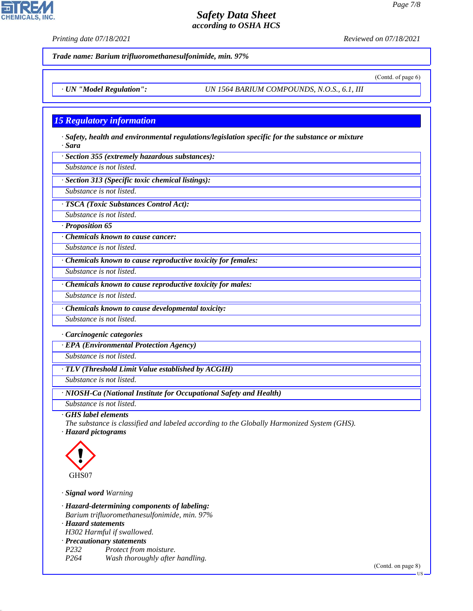**CHEMICALS, INC** 

*Printing date 07/18/2021 Reviewed on 07/18/2021*

(Contd. of page 6)

*Trade name: Barium trifluoromethanesulfonimide, min. 97%*

*· UN "Model Regulation": UN 1564 BARIUM COMPOUNDS, N.O.S., 6.1, III*

#### *15 Regulatory information*

*· Safety, health and environmental regulations/legislation specific for the substance or mixture · Sara*

*· Section 355 (extremely hazardous substances):*

*Substance is not listed.*

*· Section 313 (Specific toxic chemical listings):*

*Substance is not listed.*

*· TSCA (Toxic Substances Control Act):*

*Substance is not listed.*

*· Proposition 65*

*· Chemicals known to cause cancer:*

*Substance is not listed.*

*· Chemicals known to cause reproductive toxicity for females:*

*Substance is not listed.*

*· Chemicals known to cause reproductive toxicity for males:*

*Substance is not listed.*

*· Chemicals known to cause developmental toxicity:*

*Substance is not listed.*

*· Carcinogenic categories*

*· EPA (Environmental Protection Agency)*

*Substance is not listed.*

*· TLV (Threshold Limit Value established by ACGIH)*

*Substance is not listed.*

*· NIOSH-Ca (National Institute for Occupational Safety and Health)*

*Substance is not listed.*

*· GHS label elements*

*The substance is classified and labeled according to the Globally Harmonized System (GHS). · Hazard pictograms*



44.1.1

*· Signal word Warning*

*· Hazard-determining components of labeling: Barium trifluoromethanesulfonimide, min. 97%*

*· Hazard statements*

*H302 Harmful if swallowed.*

*· Precautionary statements*

*P232 Protect from moisture. P264 Wash thoroughly after handling.*